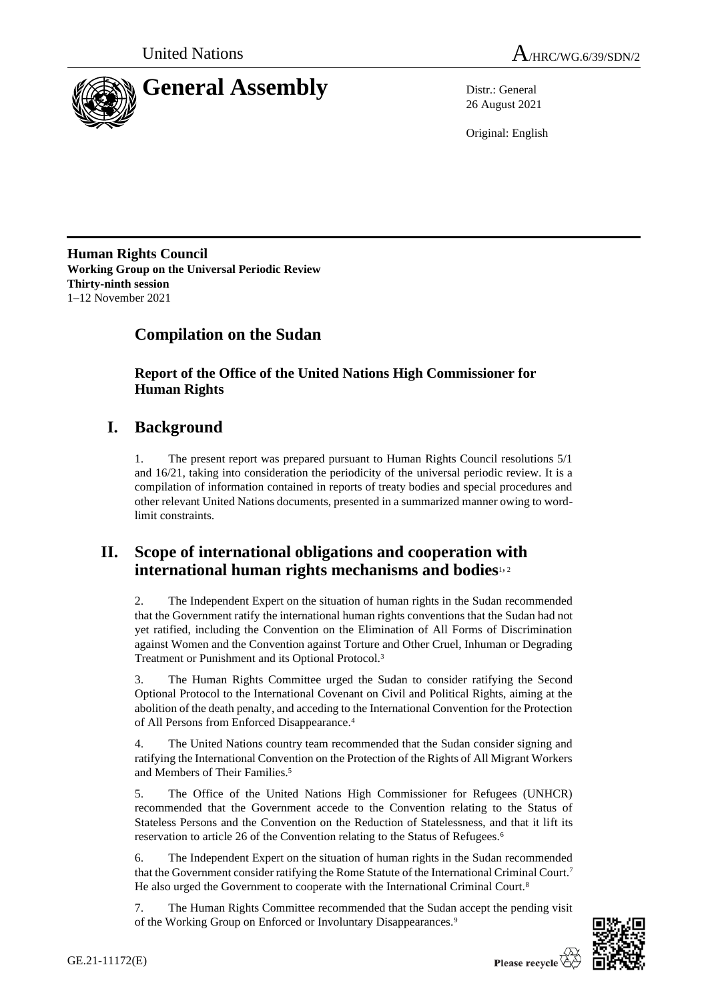

26 August 2021

Original: English

**Human Rights Council Working Group on the Universal Periodic Review Thirty-ninth session** 1–12 November 2021

# **Compilation on the Sudan**

**Report of the Office of the United Nations High Commissioner for Human Rights**

# **I. Background**

1. The present report was prepared pursuant to Human Rights Council resolutions 5/1 and 16/21, taking into consideration the periodicity of the universal periodic review. It is a compilation of information contained in reports of treaty bodies and special procedures and other relevant United Nations documents, presented in a summarized manner owing to wordlimit constraints.

# **II. Scope of international obligations and cooperation with international human rights mechanisms and bodies**1, <sup>2</sup>

2. The Independent Expert on the situation of human rights in the Sudan recommended that the Government ratify the international human rights conventions that the Sudan had not yet ratified, including the Convention on the Elimination of All Forms of Discrimination against Women and the Convention against Torture and Other Cruel, Inhuman or Degrading Treatment or Punishment and its Optional Protocol.<sup>3</sup>

3. The Human Rights Committee urged the Sudan to consider ratifying the Second Optional Protocol to the International Covenant on Civil and Political Rights, aiming at the abolition of the death penalty, and acceding to the International Convention for the Protection of All Persons from Enforced Disappearance.<sup>4</sup>

4. The United Nations country team recommended that the Sudan consider signing and ratifying the International Convention on the Protection of the Rights of All Migrant Workers and Members of Their Families.<sup>5</sup>

5. The Office of the United Nations High Commissioner for Refugees (UNHCR) recommended that the Government accede to the Convention relating to the Status of Stateless Persons and the Convention on the Reduction of Statelessness, and that it lift its reservation to article 26 of the Convention relating to the Status of Refugees.<sup>6</sup>

6. The Independent Expert on the situation of human rights in the Sudan recommended that the Government consider ratifying the Rome Statute of the International Criminal Court.<sup>7</sup> He also urged the Government to cooperate with the International Criminal Court.<sup>8</sup>

7. The Human Rights Committee recommended that the Sudan accept the pending visit of the Working Group on Enforced or Involuntary Disappearances.<sup>9</sup>

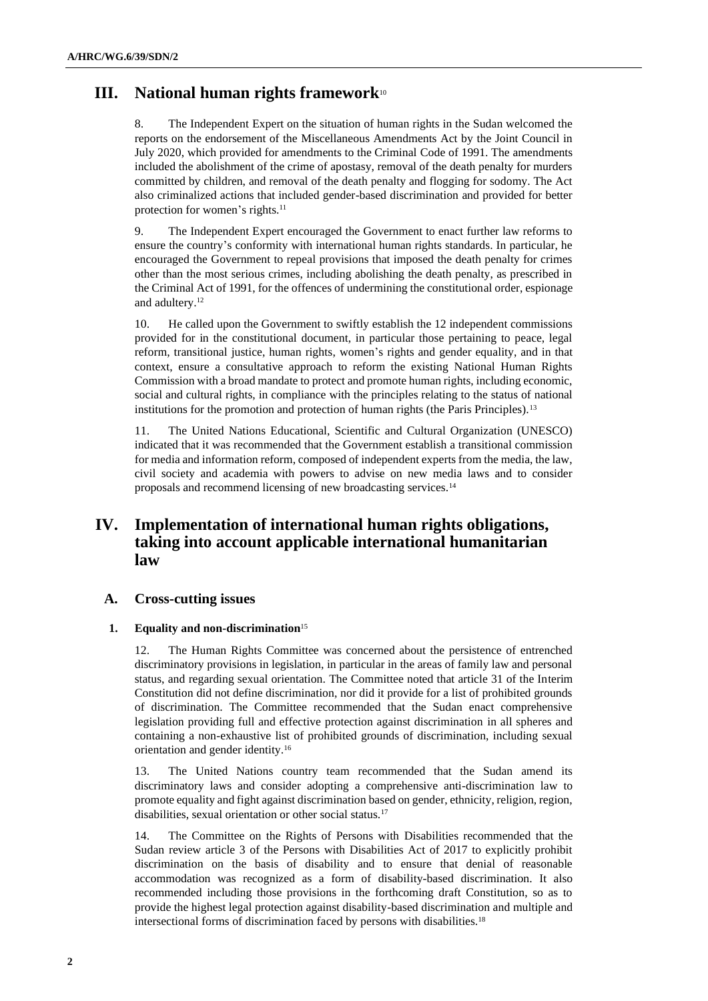## **III. National human rights framework**<sup>10</sup>

8. The Independent Expert on the situation of human rights in the Sudan welcomed the reports on the endorsement of the Miscellaneous Amendments Act by the Joint Council in July 2020, which provided for amendments to the Criminal Code of 1991. The amendments included the abolishment of the crime of apostasy, removal of the death penalty for murders committed by children, and removal of the death penalty and flogging for sodomy. The Act also criminalized actions that included gender-based discrimination and provided for better protection for women's rights.<sup>11</sup>

9. The Independent Expert encouraged the Government to enact further law reforms to ensure the country's conformity with international human rights standards. In particular, he encouraged the Government to repeal provisions that imposed the death penalty for crimes other than the most serious crimes, including abolishing the death penalty, as prescribed in the Criminal Act of 1991, for the offences of undermining the constitutional order, espionage and adultery.<sup>12</sup>

10. He called upon the Government to swiftly establish the 12 independent commissions provided for in the constitutional document, in particular those pertaining to peace, legal reform, transitional justice, human rights, women's rights and gender equality, and in that context, ensure a consultative approach to reform the existing National Human Rights Commission with a broad mandate to protect and promote human rights, including economic, social and cultural rights, in compliance with the principles relating to the status of national institutions for the promotion and protection of human rights (the Paris Principles).<sup>13</sup>

11. The United Nations Educational, Scientific and Cultural Organization (UNESCO) indicated that it was recommended that the Government establish a transitional commission for media and information reform, composed of independent experts from the media, the law, civil society and academia with powers to advise on new media laws and to consider proposals and recommend licensing of new broadcasting services.<sup>14</sup>

## **IV. Implementation of international human rights obligations, taking into account applicable international humanitarian law**

## **A. Cross-cutting issues**

## **1. Equality and non-discrimination**<sup>15</sup>

12. The Human Rights Committee was concerned about the persistence of entrenched discriminatory provisions in legislation, in particular in the areas of family law and personal status, and regarding sexual orientation. The Committee noted that article 31 of the Interim Constitution did not define discrimination, nor did it provide for a list of prohibited grounds of discrimination. The Committee recommended that the Sudan enact comprehensive legislation providing full and effective protection against discrimination in all spheres and containing a non-exhaustive list of prohibited grounds of discrimination, including sexual orientation and gender identity.<sup>16</sup>

13. The United Nations country team recommended that the Sudan amend its discriminatory laws and consider adopting a comprehensive anti-discrimination law to promote equality and fight against discrimination based on gender, ethnicity, religion, region, disabilities, sexual orientation or other social status.<sup>17</sup>

14. The Committee on the Rights of Persons with Disabilities recommended that the Sudan review article 3 of the Persons with Disabilities Act of 2017 to explicitly prohibit discrimination on the basis of disability and to ensure that denial of reasonable accommodation was recognized as a form of disability-based discrimination. It also recommended including those provisions in the forthcoming draft Constitution, so as to provide the highest legal protection against disability-based discrimination and multiple and intersectional forms of discrimination faced by persons with disabilities.<sup>18</sup>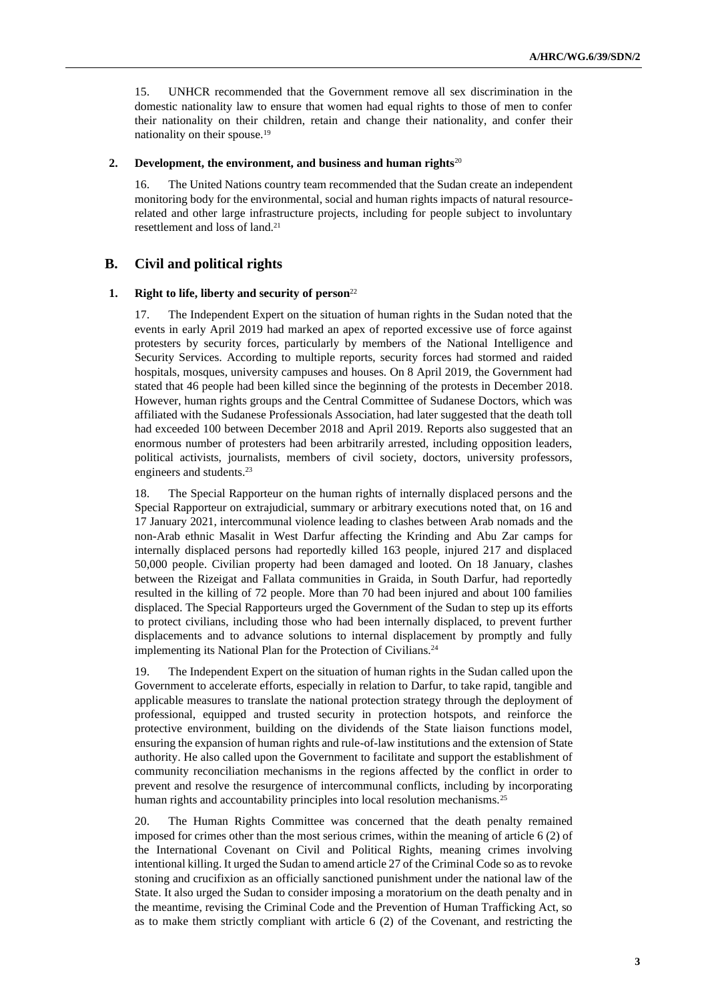15. UNHCR recommended that the Government remove all sex discrimination in the domestic nationality law to ensure that women had equal rights to those of men to confer their nationality on their children, retain and change their nationality, and confer their nationality on their spouse.<sup>19</sup>

#### **2. Development, the environment, and business and human rights**<sup>20</sup>

16. The United Nations country team recommended that the Sudan create an independent monitoring body for the environmental, social and human rights impacts of natural resourcerelated and other large infrastructure projects, including for people subject to involuntary resettlement and loss of land.<sup>21</sup>

## **B. Civil and political rights**

#### **1. Right to life, liberty and security of person**<sup>22</sup>

17. The Independent Expert on the situation of human rights in the Sudan noted that the events in early April 2019 had marked an apex of reported excessive use of force against protesters by security forces, particularly by members of the National Intelligence and Security Services. According to multiple reports, security forces had stormed and raided hospitals, mosques, university campuses and houses. On 8 April 2019, the Government had stated that 46 people had been killed since the beginning of the protests in December 2018. However, human rights groups and the Central Committee of Sudanese Doctors, which was affiliated with the Sudanese Professionals Association, had later suggested that the death toll had exceeded 100 between December 2018 and April 2019. Reports also suggested that an enormous number of protesters had been arbitrarily arrested, including opposition leaders, political activists, journalists, members of civil society, doctors, university professors, engineers and students.<sup>23</sup>

18. The Special Rapporteur on the human rights of internally displaced persons and the Special Rapporteur on extrajudicial, summary or arbitrary executions noted that, on 16 and 17 January 2021, intercommunal violence leading to clashes between Arab nomads and the non-Arab ethnic Masalit in West Darfur affecting the Krinding and Abu Zar camps for internally displaced persons had reportedly killed 163 people, injured 217 and displaced 50,000 people. Civilian property had been damaged and looted. On 18 January, clashes between the Rizeigat and Fallata communities in Graida, in South Darfur, had reportedly resulted in the killing of 72 people. More than 70 had been injured and about 100 families displaced. The Special Rapporteurs urged the Government of the Sudan to step up its efforts to protect civilians, including those who had been internally displaced, to prevent further displacements and to advance solutions to internal displacement by promptly and fully implementing its National Plan for the Protection of Civilians.<sup>24</sup>

19. The Independent Expert on the situation of human rights in the Sudan called upon the Government to accelerate efforts, especially in relation to Darfur, to take rapid, tangible and applicable measures to translate the national protection strategy through the deployment of professional, equipped and trusted security in protection hotspots, and reinforce the protective environment, building on the dividends of the State liaison functions model, ensuring the expansion of human rights and rule-of-law institutions and the extension of State authority. He also called upon the Government to facilitate and support the establishment of community reconciliation mechanisms in the regions affected by the conflict in order to prevent and resolve the resurgence of intercommunal conflicts, including by incorporating human rights and accountability principles into local resolution mechanisms.<sup>25</sup>

20. The Human Rights Committee was concerned that the death penalty remained imposed for crimes other than the most serious crimes, within the meaning of article 6 (2) of the International Covenant on Civil and Political Rights, meaning crimes involving intentional killing. It urged the Sudan to amend article 27 of the Criminal Code so as to revoke stoning and crucifixion as an officially sanctioned punishment under the national law of the State. It also urged the Sudan to consider imposing a moratorium on the death penalty and in the meantime, revising the Criminal Code and the Prevention of Human Trafficking Act, so as to make them strictly compliant with article 6 (2) of the Covenant, and restricting the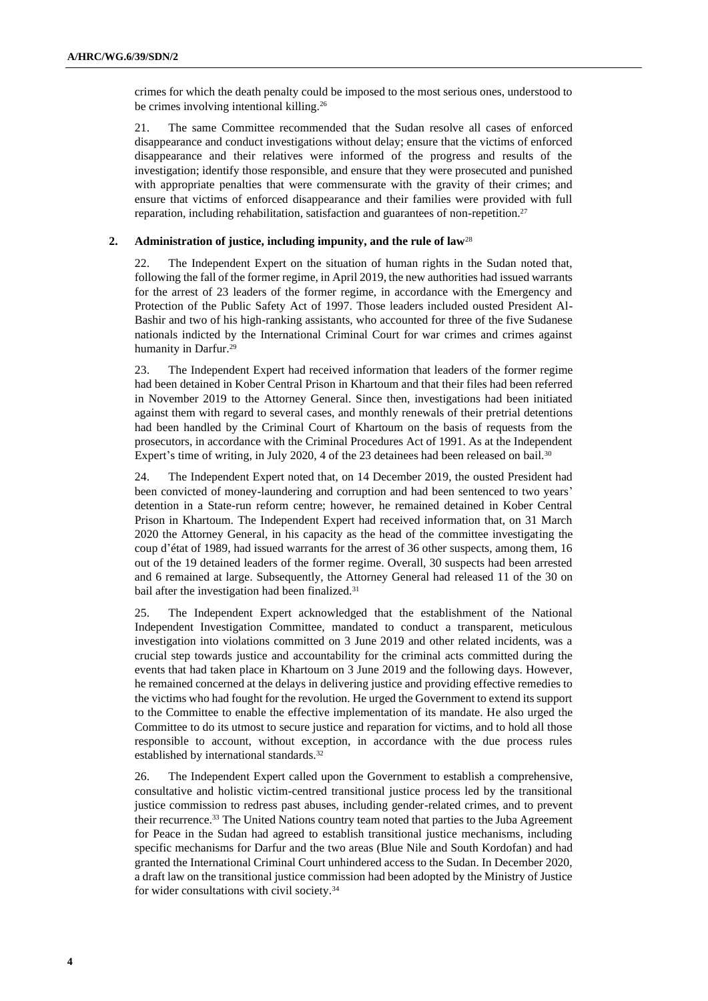crimes for which the death penalty could be imposed to the most serious ones, understood to be crimes involving intentional killing.<sup>26</sup>

21. The same Committee recommended that the Sudan resolve all cases of enforced disappearance and conduct investigations without delay; ensure that the victims of enforced disappearance and their relatives were informed of the progress and results of the investigation; identify those responsible, and ensure that they were prosecuted and punished with appropriate penalties that were commensurate with the gravity of their crimes; and ensure that victims of enforced disappearance and their families were provided with full reparation, including rehabilitation, satisfaction and guarantees of non-repetition.<sup>27</sup>

#### **2. Administration of justice, including impunity, and the rule of law**<sup>28</sup>

22. The Independent Expert on the situation of human rights in the Sudan noted that, following the fall of the former regime, in April 2019, the new authorities had issued warrants for the arrest of 23 leaders of the former regime, in accordance with the Emergency and Protection of the Public Safety Act of 1997. Those leaders included ousted President Al-Bashir and two of his high-ranking assistants, who accounted for three of the five Sudanese nationals indicted by the International Criminal Court for war crimes and crimes against humanity in Darfur.<sup>29</sup>

23. The Independent Expert had received information that leaders of the former regime had been detained in Kober Central Prison in Khartoum and that their files had been referred in November 2019 to the Attorney General. Since then, investigations had been initiated against them with regard to several cases, and monthly renewals of their pretrial detentions had been handled by the Criminal Court of Khartoum on the basis of requests from the prosecutors, in accordance with the Criminal Procedures Act of 1991. As at the Independent Expert's time of writing, in July 2020, 4 of the 23 detainees had been released on bail.<sup>30</sup>

24. The Independent Expert noted that, on 14 December 2019, the ousted President had been convicted of money-laundering and corruption and had been sentenced to two years' detention in a State-run reform centre; however, he remained detained in Kober Central Prison in Khartoum. The Independent Expert had received information that, on 31 March 2020 the Attorney General, in his capacity as the head of the committee investigating the coup d'état of 1989, had issued warrants for the arrest of 36 other suspects, among them, 16 out of the 19 detained leaders of the former regime. Overall, 30 suspects had been arrested and 6 remained at large. Subsequently, the Attorney General had released 11 of the 30 on bail after the investigation had been finalized.<sup>31</sup>

25. The Independent Expert acknowledged that the establishment of the National Independent Investigation Committee, mandated to conduct a transparent, meticulous investigation into violations committed on 3 June 2019 and other related incidents, was a crucial step towards justice and accountability for the criminal acts committed during the events that had taken place in Khartoum on 3 June 2019 and the following days. However, he remained concerned at the delays in delivering justice and providing effective remedies to the victims who had fought for the revolution. He urged the Government to extend its support to the Committee to enable the effective implementation of its mandate. He also urged the Committee to do its utmost to secure justice and reparation for victims, and to hold all those responsible to account, without exception, in accordance with the due process rules established by international standards.<sup>32</sup>

26. The Independent Expert called upon the Government to establish a comprehensive, consultative and holistic victim-centred transitional justice process led by the transitional justice commission to redress past abuses, including gender-related crimes, and to prevent their recurrence.<sup>33</sup> The United Nations country team noted that parties to the Juba Agreement for Peace in the Sudan had agreed to establish transitional justice mechanisms, including specific mechanisms for Darfur and the two areas (Blue Nile and South Kordofan) and had granted the International Criminal Court unhindered access to the Sudan. In December 2020, a draft law on the transitional justice commission had been adopted by the Ministry of Justice for wider consultations with civil society.34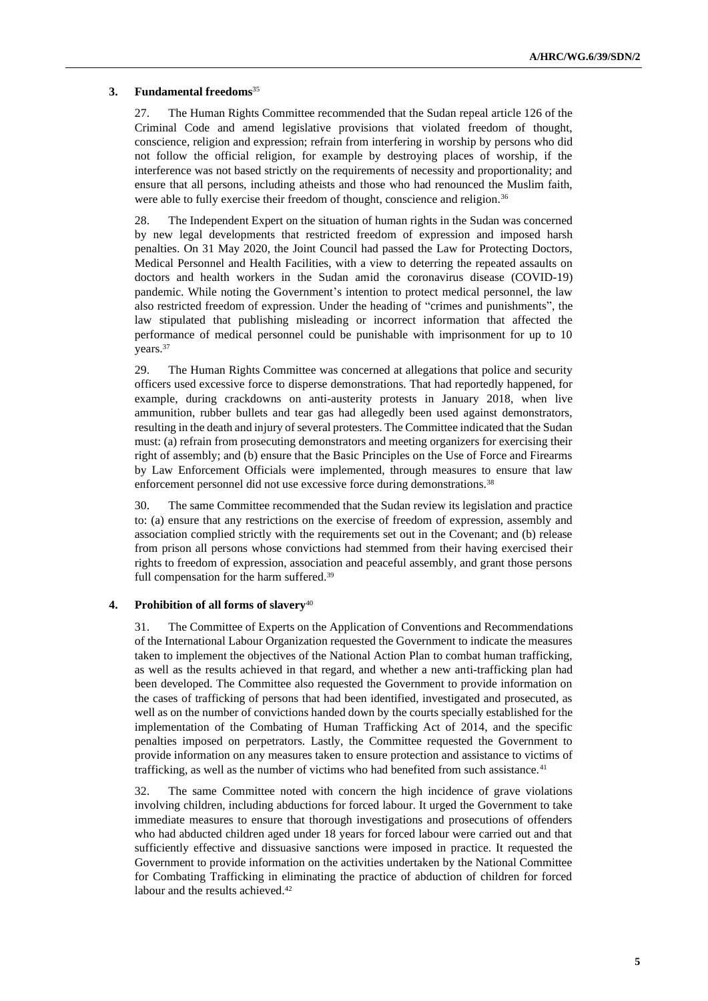#### **3. Fundamental freedoms**<sup>35</sup>

27. The Human Rights Committee recommended that the Sudan repeal article 126 of the Criminal Code and amend legislative provisions that violated freedom of thought, conscience, religion and expression; refrain from interfering in worship by persons who did not follow the official religion, for example by destroying places of worship, if the interference was not based strictly on the requirements of necessity and proportionality; and ensure that all persons, including atheists and those who had renounced the Muslim faith, were able to fully exercise their freedom of thought, conscience and religion.<sup>36</sup>

28. The Independent Expert on the situation of human rights in the Sudan was concerned by new legal developments that restricted freedom of expression and imposed harsh penalties. On 31 May 2020, the Joint Council had passed the Law for Protecting Doctors, Medical Personnel and Health Facilities, with a view to deterring the repeated assaults on doctors and health workers in the Sudan amid the coronavirus disease (COVID-19) pandemic. While noting the Government's intention to protect medical personnel, the law also restricted freedom of expression. Under the heading of "crimes and punishments", the law stipulated that publishing misleading or incorrect information that affected the performance of medical personnel could be punishable with imprisonment for up to 10 years.<sup>37</sup>

29. The Human Rights Committee was concerned at allegations that police and security officers used excessive force to disperse demonstrations. That had reportedly happened, for example, during crackdowns on anti-austerity protests in January 2018, when live ammunition, rubber bullets and tear gas had allegedly been used against demonstrators, resulting in the death and injury of several protesters. The Committee indicated that the Sudan must: (a) refrain from prosecuting demonstrators and meeting organizers for exercising their right of assembly; and (b) ensure that the Basic Principles on the Use of Force and Firearms by Law Enforcement Officials were implemented, through measures to ensure that law enforcement personnel did not use excessive force during demonstrations.<sup>38</sup>

30. The same Committee recommended that the Sudan review its legislation and practice to: (a) ensure that any restrictions on the exercise of freedom of expression, assembly and association complied strictly with the requirements set out in the Covenant; and (b) release from prison all persons whose convictions had stemmed from their having exercised their rights to freedom of expression, association and peaceful assembly, and grant those persons full compensation for the harm suffered.<sup>39</sup>

#### **4. Prohibition of all forms of slavery**<sup>40</sup>

31. The Committee of Experts on the Application of Conventions and Recommendations of the International Labour Organization requested the Government to indicate the measures taken to implement the objectives of the National Action Plan to combat human trafficking, as well as the results achieved in that regard, and whether a new anti-trafficking plan had been developed. The Committee also requested the Government to provide information on the cases of trafficking of persons that had been identified, investigated and prosecuted, as well as on the number of convictions handed down by the courts specially established for the implementation of the Combating of Human Trafficking Act of 2014, and the specific penalties imposed on perpetrators. Lastly, the Committee requested the Government to provide information on any measures taken to ensure protection and assistance to victims of trafficking, as well as the number of victims who had benefited from such assistance.<sup>41</sup>

32. The same Committee noted with concern the high incidence of grave violations involving children, including abductions for forced labour. It urged the Government to take immediate measures to ensure that thorough investigations and prosecutions of offenders who had abducted children aged under 18 years for forced labour were carried out and that sufficiently effective and dissuasive sanctions were imposed in practice. It requested the Government to provide information on the activities undertaken by the National Committee for Combating Trafficking in eliminating the practice of abduction of children for forced labour and the results achieved.<sup>42</sup>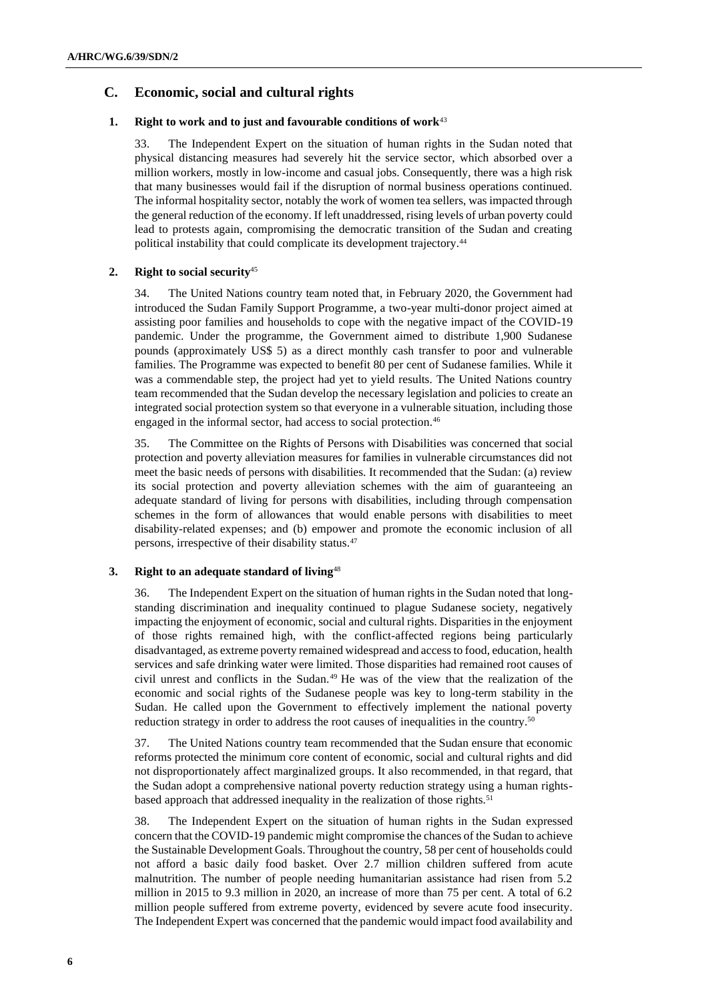## **C. Economic, social and cultural rights**

### **1. Right to work and to just and favourable conditions of work**<sup>43</sup>

33. The Independent Expert on the situation of human rights in the Sudan noted that physical distancing measures had severely hit the service sector, which absorbed over a million workers, mostly in low-income and casual jobs. Consequently, there was a high risk that many businesses would fail if the disruption of normal business operations continued. The informal hospitality sector, notably the work of women tea sellers, was impacted through the general reduction of the economy. If left unaddressed, rising levels of urban poverty could lead to protests again, compromising the democratic transition of the Sudan and creating political instability that could complicate its development trajectory.<sup>44</sup>

### **2. Right to social security**<sup>45</sup>

34. The United Nations country team noted that, in February 2020, the Government had introduced the Sudan Family Support Programme, a two-year multi-donor project aimed at assisting poor families and households to cope with the negative impact of the COVID-19 pandemic. Under the programme, the Government aimed to distribute 1,900 Sudanese pounds (approximately US\$ 5) as a direct monthly cash transfer to poor and vulnerable families. The Programme was expected to benefit 80 per cent of Sudanese families. While it was a commendable step, the project had yet to yield results. The United Nations country team recommended that the Sudan develop the necessary legislation and policies to create an integrated social protection system so that everyone in a vulnerable situation, including those engaged in the informal sector, had access to social protection.<sup>46</sup>

35. The Committee on the Rights of Persons with Disabilities was concerned that social protection and poverty alleviation measures for families in vulnerable circumstances did not meet the basic needs of persons with disabilities. It recommended that the Sudan: (a) review its social protection and poverty alleviation schemes with the aim of guaranteeing an adequate standard of living for persons with disabilities, including through compensation schemes in the form of allowances that would enable persons with disabilities to meet disability-related expenses; and (b) empower and promote the economic inclusion of all persons, irrespective of their disability status.<sup>47</sup>

## **3. Right to an adequate standard of living**<sup>48</sup>

36. The Independent Expert on the situation of human rights in the Sudan noted that longstanding discrimination and inequality continued to plague Sudanese society, negatively impacting the enjoyment of economic, social and cultural rights. Disparities in the enjoyment of those rights remained high, with the conflict-affected regions being particularly disadvantaged, as extreme poverty remained widespread and access to food, education, health services and safe drinking water were limited. Those disparities had remained root causes of civil unrest and conflicts in the Sudan.<sup>49</sup> He was of the view that the realization of the economic and social rights of the Sudanese people was key to long-term stability in the Sudan. He called upon the Government to effectively implement the national poverty reduction strategy in order to address the root causes of inequalities in the country.<sup>50</sup>

37. The United Nations country team recommended that the Sudan ensure that economic reforms protected the minimum core content of economic, social and cultural rights and did not disproportionately affect marginalized groups. It also recommended, in that regard, that the Sudan adopt a comprehensive national poverty reduction strategy using a human rightsbased approach that addressed inequality in the realization of those rights.<sup>51</sup>

38. The Independent Expert on the situation of human rights in the Sudan expressed concern that the COVID-19 pandemic might compromise the chances of the Sudan to achieve the Sustainable Development Goals. Throughout the country, 58 per cent of households could not afford a basic daily food basket. Over 2.7 million children suffered from acute malnutrition. The number of people needing humanitarian assistance had risen from 5.2 million in 2015 to 9.3 million in 2020, an increase of more than 75 per cent. A total of 6.2 million people suffered from extreme poverty, evidenced by severe acute food insecurity. The Independent Expert was concerned that the pandemic would impact food availability and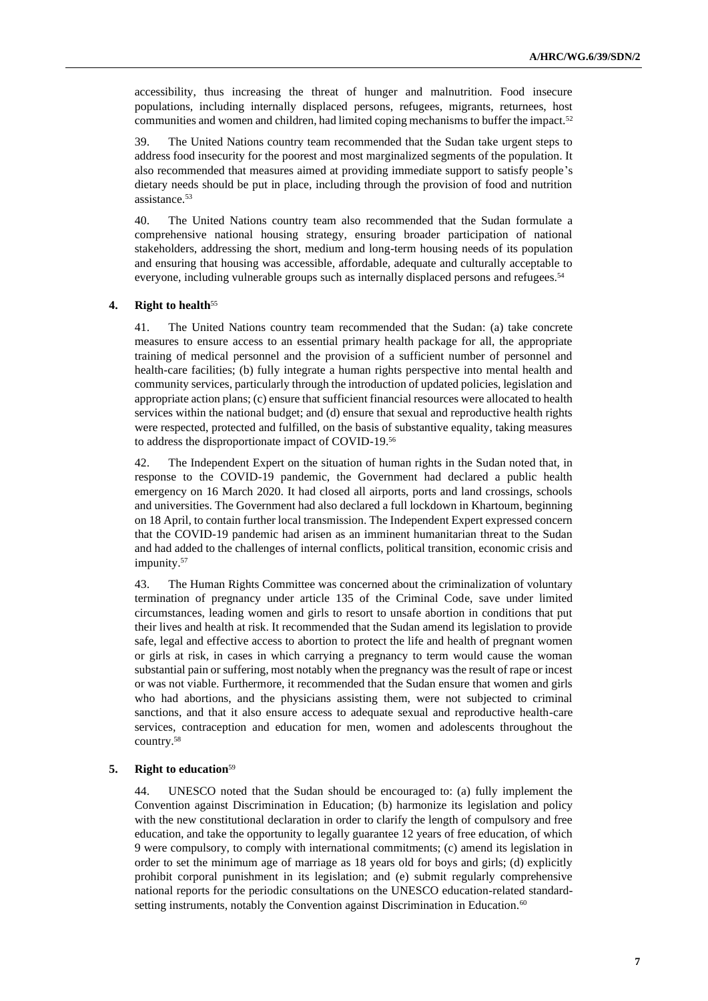accessibility, thus increasing the threat of hunger and malnutrition. Food insecure populations, including internally displaced persons, refugees, migrants, returnees, host communities and women and children, had limited coping mechanisms to buffer the impact.<sup>52</sup>

39. The United Nations country team recommended that the Sudan take urgent steps to address food insecurity for the poorest and most marginalized segments of the population. It also recommended that measures aimed at providing immediate support to satisfy people's dietary needs should be put in place, including through the provision of food and nutrition assistance.<sup>53</sup>

40. The United Nations country team also recommended that the Sudan formulate a comprehensive national housing strategy, ensuring broader participation of national stakeholders, addressing the short, medium and long-term housing needs of its population and ensuring that housing was accessible, affordable, adequate and culturally acceptable to everyone, including vulnerable groups such as internally displaced persons and refugees.<sup>54</sup>

## **4. Right to health**<sup>55</sup>

41. The United Nations country team recommended that the Sudan: (a) take concrete measures to ensure access to an essential primary health package for all, the appropriate training of medical personnel and the provision of a sufficient number of personnel and health-care facilities; (b) fully integrate a human rights perspective into mental health and community services, particularly through the introduction of updated policies, legislation and appropriate action plans; (c) ensure that sufficient financial resources were allocated to health services within the national budget; and (d) ensure that sexual and reproductive health rights were respected, protected and fulfilled, on the basis of substantive equality, taking measures to address the disproportionate impact of COVID-19.<sup>56</sup>

42. The Independent Expert on the situation of human rights in the Sudan noted that, in response to the COVID-19 pandemic, the Government had declared a public health emergency on 16 March 2020. It had closed all airports, ports and land crossings, schools and universities. The Government had also declared a full lockdown in Khartoum, beginning on 18 April, to contain further local transmission. The Independent Expert expressed concern that the COVID-19 pandemic had arisen as an imminent humanitarian threat to the Sudan and had added to the challenges of internal conflicts, political transition, economic crisis and impunity.<sup>57</sup>

43. The Human Rights Committee was concerned about the criminalization of voluntary termination of pregnancy under article 135 of the Criminal Code, save under limited circumstances, leading women and girls to resort to unsafe abortion in conditions that put their lives and health at risk. It recommended that the Sudan amend its legislation to provide safe, legal and effective access to abortion to protect the life and health of pregnant women or girls at risk, in cases in which carrying a pregnancy to term would cause the woman substantial pain or suffering, most notably when the pregnancy was the result of rape or incest or was not viable. Furthermore, it recommended that the Sudan ensure that women and girls who had abortions, and the physicians assisting them, were not subjected to criminal sanctions, and that it also ensure access to adequate sexual and reproductive health-care services, contraception and education for men, women and adolescents throughout the country.<sup>58</sup>

#### **5. Right to education**<sup>59</sup>

44. UNESCO noted that the Sudan should be encouraged to: (a) fully implement the Convention against Discrimination in Education; (b) harmonize its legislation and policy with the new constitutional declaration in order to clarify the length of compulsory and free education, and take the opportunity to legally guarantee 12 years of free education, of which 9 were compulsory, to comply with international commitments; (c) amend its legislation in order to set the minimum age of marriage as 18 years old for boys and girls; (d) explicitly prohibit corporal punishment in its legislation; and (e) submit regularly comprehensive national reports for the periodic consultations on the UNESCO education-related standardsetting instruments, notably the Convention against Discrimination in Education.<sup>60</sup>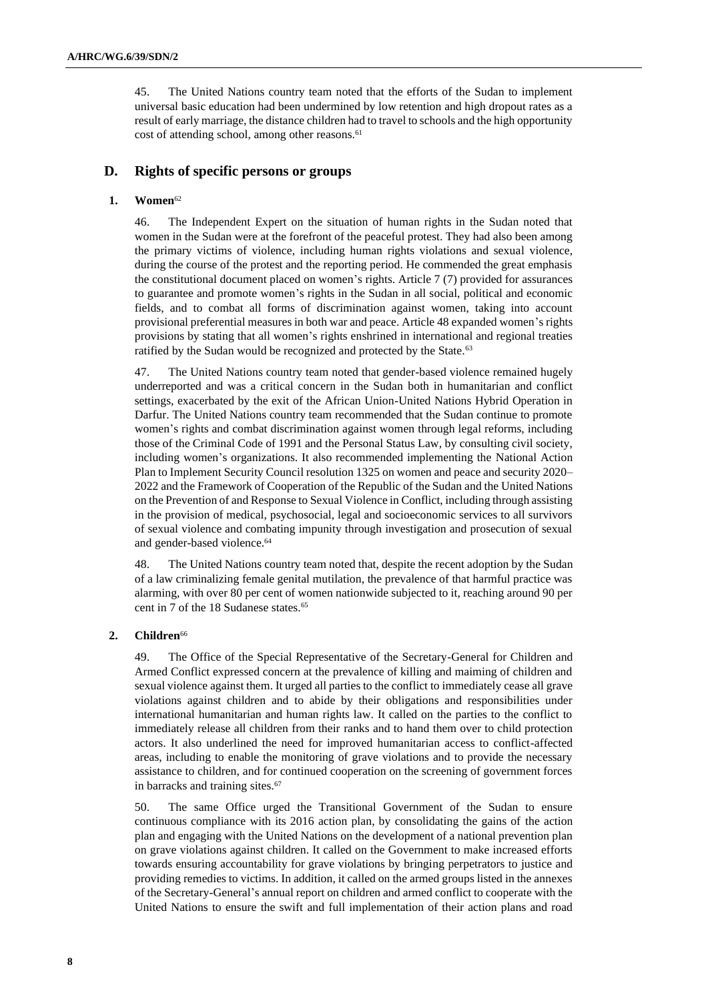45. The United Nations country team noted that the efforts of the Sudan to implement universal basic education had been undermined by low retention and high dropout rates as a result of early marriage, the distance children had to travel to schools and the high opportunity cost of attending school, among other reasons.<sup>61</sup>

## **D. Rights of specific persons or groups**

#### **1. Women**<sup>62</sup>

46. The Independent Expert on the situation of human rights in the Sudan noted that women in the Sudan were at the forefront of the peaceful protest. They had also been among the primary victims of violence, including human rights violations and sexual violence, during the course of the protest and the reporting period. He commended the great emphasis the constitutional document placed on women's rights. Article 7 (7) provided for assurances to guarantee and promote women's rights in the Sudan in all social, political and economic fields, and to combat all forms of discrimination against women, taking into account provisional preferential measures in both war and peace. Article 48 expanded women's rights provisions by stating that all women's rights enshrined in international and regional treaties ratified by the Sudan would be recognized and protected by the State.<sup>63</sup>

47. The United Nations country team noted that gender-based violence remained hugely underreported and was a critical concern in the Sudan both in humanitarian and conflict settings, exacerbated by the exit of the African Union-United Nations Hybrid Operation in Darfur. The United Nations country team recommended that the Sudan continue to promote women's rights and combat discrimination against women through legal reforms, including those of the Criminal Code of 1991 and the Personal Status Law, by consulting civil society, including women's organizations. It also recommended implementing the National Action Plan to Implement Security Council resolution 1325 on women and peace and security 2020– 2022 and the Framework of Cooperation of the Republic of the Sudan and the United Nations on the Prevention of and Response to Sexual Violence in Conflict, including through assisting in the provision of medical, psychosocial, legal and socioeconomic services to all survivors of sexual violence and combating impunity through investigation and prosecution of sexual and gender-based violence.<sup>64</sup>

48. The United Nations country team noted that, despite the recent adoption by the Sudan of a law criminalizing female genital mutilation, the prevalence of that harmful practice was alarming, with over 80 per cent of women nationwide subjected to it, reaching around 90 per cent in 7 of the 18 Sudanese states.<sup>65</sup>

### 2. **Children**<sup>66</sup>

49. The Office of the Special Representative of the Secretary-General for Children and Armed Conflict expressed concern at the prevalence of killing and maiming of children and sexual violence against them. It urged all parties to the conflict to immediately cease all grave violations against children and to abide by their obligations and responsibilities under international humanitarian and human rights law. It called on the parties to the conflict to immediately release all children from their ranks and to hand them over to child protection actors. It also underlined the need for improved humanitarian access to conflict-affected areas, including to enable the monitoring of grave violations and to provide the necessary assistance to children, and for continued cooperation on the screening of government forces in barracks and training sites.<sup>67</sup>

50. The same Office urged the Transitional Government of the Sudan to ensure continuous compliance with its 2016 action plan, by consolidating the gains of the action plan and engaging with the United Nations on the development of a national prevention plan on grave violations against children. It called on the Government to make increased efforts towards ensuring accountability for grave violations by bringing perpetrators to justice and providing remedies to victims. In addition, it called on the armed groups listed in the annexes of the Secretary-General's annual report on children and armed conflict to cooperate with the United Nations to ensure the swift and full implementation of their action plans and road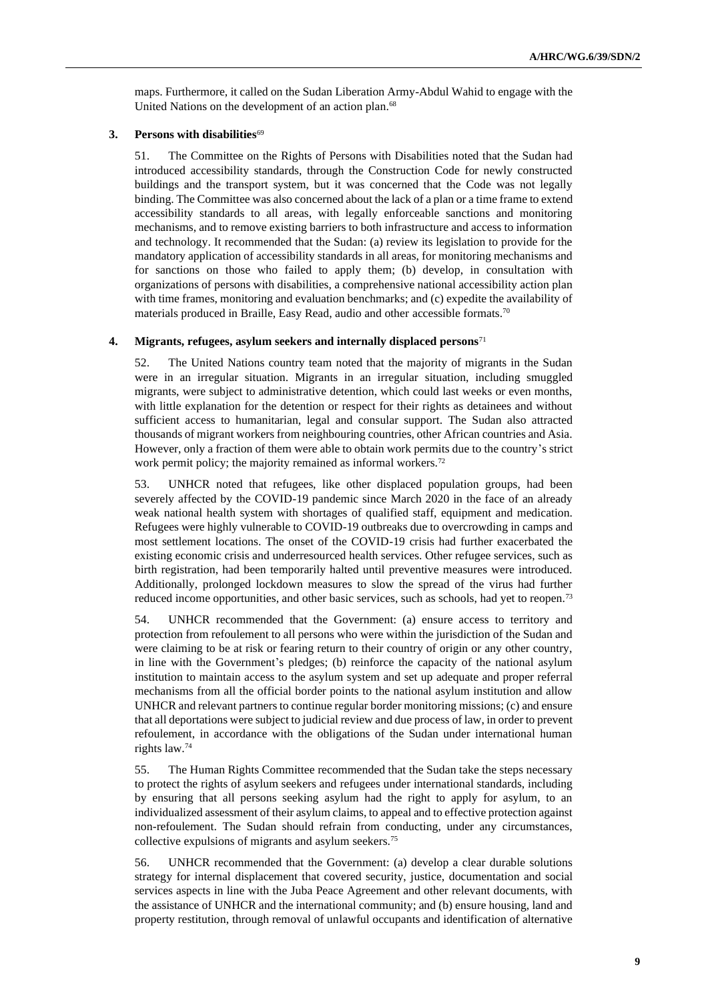maps. Furthermore, it called on the Sudan Liberation Army-Abdul Wahid to engage with the United Nations on the development of an action plan.<sup>68</sup>

#### **3. Persons with disabilities**<sup>69</sup>

51. The Committee on the Rights of Persons with Disabilities noted that the Sudan had introduced accessibility standards, through the Construction Code for newly constructed buildings and the transport system, but it was concerned that the Code was not legally binding. The Committee was also concerned about the lack of a plan or a time frame to extend accessibility standards to all areas, with legally enforceable sanctions and monitoring mechanisms, and to remove existing barriers to both infrastructure and access to information and technology. It recommended that the Sudan: (a) review its legislation to provide for the mandatory application of accessibility standards in all areas, for monitoring mechanisms and for sanctions on those who failed to apply them; (b) develop, in consultation with organizations of persons with disabilities, a comprehensive national accessibility action plan with time frames, monitoring and evaluation benchmarks; and (c) expedite the availability of materials produced in Braille, Easy Read, audio and other accessible formats.<sup>70</sup>

#### **4. Migrants, refugees, asylum seekers and internally displaced persons**<sup>71</sup>

52. The United Nations country team noted that the majority of migrants in the Sudan were in an irregular situation. Migrants in an irregular situation, including smuggled migrants, were subject to administrative detention, which could last weeks or even months, with little explanation for the detention or respect for their rights as detainees and without sufficient access to humanitarian, legal and consular support. The Sudan also attracted thousands of migrant workers from neighbouring countries, other African countries and Asia. However, only a fraction of them were able to obtain work permits due to the country's strict work permit policy; the majority remained as informal workers.<sup>72</sup>

53. UNHCR noted that refugees, like other displaced population groups, had been severely affected by the COVID-19 pandemic since March 2020 in the face of an already weak national health system with shortages of qualified staff, equipment and medication. Refugees were highly vulnerable to COVID-19 outbreaks due to overcrowding in camps and most settlement locations. The onset of the COVID-19 crisis had further exacerbated the existing economic crisis and underresourced health services. Other refugee services, such as birth registration, had been temporarily halted until preventive measures were introduced. Additionally, prolonged lockdown measures to slow the spread of the virus had further reduced income opportunities, and other basic services, such as schools, had yet to reopen.<sup>73</sup>

54. UNHCR recommended that the Government: (a) ensure access to territory and protection from refoulement to all persons who were within the jurisdiction of the Sudan and were claiming to be at risk or fearing return to their country of origin or any other country, in line with the Government's pledges; (b) reinforce the capacity of the national asylum institution to maintain access to the asylum system and set up adequate and proper referral mechanisms from all the official border points to the national asylum institution and allow UNHCR and relevant partners to continue regular border monitoring missions; (c) and ensure that all deportations were subject to judicial review and due process of law, in order to prevent refoulement, in accordance with the obligations of the Sudan under international human rights law.<sup>74</sup>

55. The Human Rights Committee recommended that the Sudan take the steps necessary to protect the rights of asylum seekers and refugees under international standards, including by ensuring that all persons seeking asylum had the right to apply for asylum, to an individualized assessment of their asylum claims, to appeal and to effective protection against non-refoulement. The Sudan should refrain from conducting, under any circumstances, collective expulsions of migrants and asylum seekers.<sup>75</sup>

56. UNHCR recommended that the Government: (a) develop a clear durable solutions strategy for internal displacement that covered security, justice, documentation and social services aspects in line with the Juba Peace Agreement and other relevant documents, with the assistance of UNHCR and the international community; and (b) ensure housing, land and property restitution, through removal of unlawful occupants and identification of alternative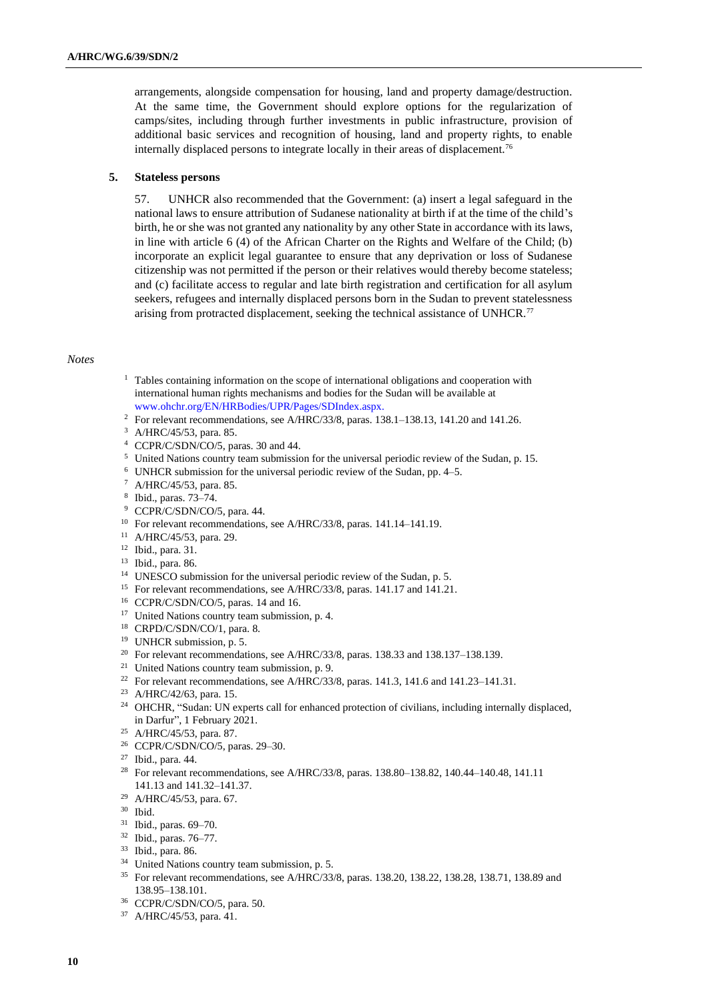arrangements, alongside compensation for housing, land and property damage/destruction. At the same time, the Government should explore options for the regularization of camps/sites, including through further investments in public infrastructure, provision of additional basic services and recognition of housing, land and property rights, to enable internally displaced persons to integrate locally in their areas of displacement.<sup>76</sup>

#### **5. Stateless persons**

57. UNHCR also recommended that the Government: (a) insert a legal safeguard in the national laws to ensure attribution of Sudanese nationality at birth if at the time of the child's birth, he or she was not granted any nationality by any other State in accordance with its laws, in line with article 6 (4) of the African Charter on the Rights and Welfare of the Child; (b) incorporate an explicit legal guarantee to ensure that any deprivation or loss of Sudanese citizenship was not permitted if the person or their relatives would thereby become stateless; and (c) facilitate access to regular and late birth registration and certification for all asylum seekers, refugees and internally displaced persons born in the Sudan to prevent statelessness arising from protracted displacement, seeking the technical assistance of UNHCR.<sup>77</sup>

#### *Notes*

- <sup>1</sup> Tables containing information on the scope of international obligations and cooperation with international human rights mechanisms and bodies for the Sudan will be available at [www.ohchr.org/EN/HRBodies/UPR/Pages/SDIndex.aspx.](https://www.ohchr.org/EN/HRBodies/UPR/Pages/SDIndex.aspx)
- <sup>2</sup> For relevant recommendations, see A/HRC/33/8, paras. 138.1–138.13, 141.20 and 141.26.
- <sup>3</sup> A/HRC/45/53, para. 85.
- <sup>4</sup> CCPR/C/SDN/CO/5, paras. 30 and 44.
- <sup>5</sup> United Nations country team submission for the universal periodic review of the Sudan, p. 15.
- <sup>6</sup> UNHCR submission for the universal periodic review of the Sudan, pp. 4–5.
- <sup>7</sup> A/HRC/45/53, para. 85.
- 8 Ibid., paras. 73–74.
- <sup>9</sup> CCPR/C/SDN/CO/5, para. 44.
- <sup>10</sup> For relevant recommendations, see A/HRC/33/8, paras. 141.14-141.19.
- <sup>11</sup> A/HRC/45/53, para. 29.
- <sup>12</sup> Ibid., para. 31.
- <sup>13</sup> Ibid., para. 86.
- <sup>14</sup> UNESCO submission for the universal periodic review of the Sudan, p. 5.
- <sup>15</sup> For relevant recommendations, see A/HRC/33/8, paras. 141.17 and 141.21.
- <sup>16</sup> CCPR/C/SDN/CO/5, paras. 14 and 16.
- <sup>17</sup> United Nations country team submission, p. 4.
- <sup>18</sup> CRPD/C/SDN/CO/1, para. 8.
- <sup>19</sup> UNHCR submission, p. 5.
- <sup>20</sup> For relevant recommendations, see A/HRC/33/8, paras. 138.33 and 138.137–138.139.
- <sup>21</sup> United Nations country team submission, p. 9.
- <sup>22</sup> For relevant recommendations, see A/HRC/33/8, paras. 141.3, 141.6 and 141.23-141.31.
- <sup>23</sup> A/HRC/42/63, para. 15.
- <sup>24</sup> OHCHR, "Sudan: UN experts call for enhanced protection of civilians, including internally displaced, in Darfur", 1 February 2021.
- <sup>25</sup> A/HRC/45/53, para. 87.
- <sup>26</sup> CCPR/C/SDN/CO/5, paras. 29–30.
- <sup>27</sup> Ibid., para. 44.
- <sup>28</sup> For relevant recommendations, see A/HRC/33/8, paras. 138.80–138.82, 140.44–140.48, 141.11 141.13 and 141.32–141.37.
- <sup>29</sup> A/HRC/45/53, para. 67.
- <sup>30</sup> Ibid.
- <sup>31</sup> Ibid., paras. 69–70.
- <sup>32</sup> Ibid., paras. 76–77.
- <sup>33</sup> Ibid., para. 86.
- <sup>34</sup> United Nations country team submission, p. 5.
- <sup>35</sup> For relevant recommendations, see A/HRC/33/8, paras. 138.20, 138.22, 138.28, 138.71, 138.89 and 138.95–138.101.
- <sup>36</sup> CCPR/C/SDN/CO/5, para. 50.
- <sup>37</sup> A/HRC/45/53, para. 41.